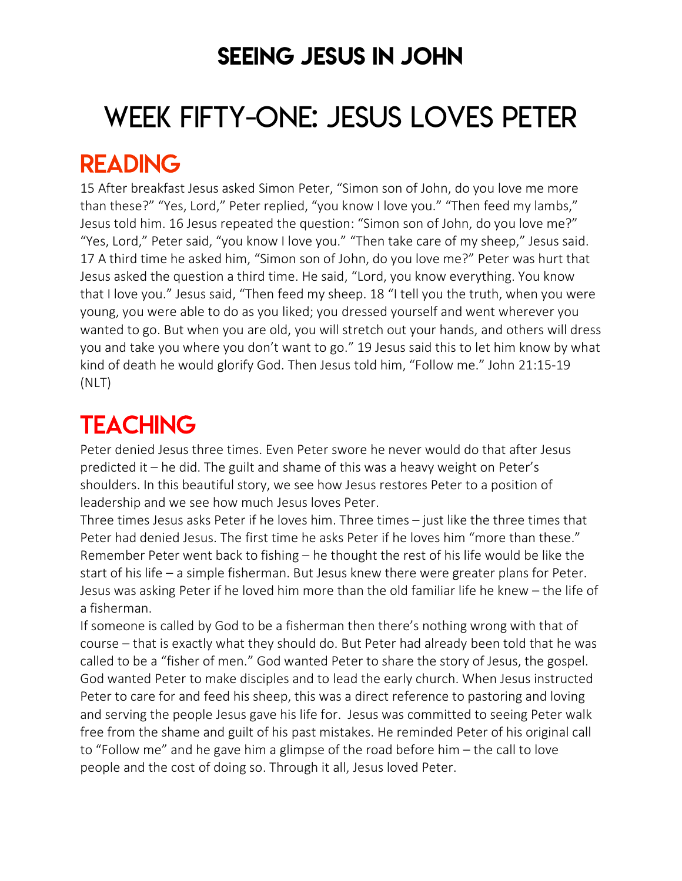### SEEING JESUS IN JOHN

# WEEK FIFTY-ONE: JESUS LOVES PETER

### READING

15 After breakfast Jesus asked Simon Peter, "Simon son of John, do you love me more than these?" "Yes, Lord," Peter replied, "you know I love you." "Then feed my lambs," Jesus told him. 16 Jesus repeated the question: "Simon son of John, do you love me?" "Yes, Lord," Peter said, "you know I love you." "Then take care of my sheep," Jesus said. 17 A third time he asked him, "Simon son of John, do you love me?" Peter was hurt that Jesus asked the question a third time. He said, "Lord, you know everything. You know that I love you." Jesus said, "Then feed my sheep. 18 "I tell you the truth, when you were young, you were able to do as you liked; you dressed yourself and went wherever you wanted to go. But when you are old, you will stretch out your hands, and others will dress you and take you where you don't want to go." 19 Jesus said this to let him know by what kind of death he would glorify God. Then Jesus told him, "Follow me." John 21:15-19 (NLT)

## **TEACHING**

Peter denied Jesus three times. Even Peter swore he never would do that after Jesus predicted it – he did. The guilt and shame of this was a heavy weight on Peter's shoulders. In this beautiful story, we see how Jesus restores Peter to a position of leadership and we see how much Jesus loves Peter.

Three times Jesus asks Peter if he loves him. Three times – just like the three times that Peter had denied Jesus. The first time he asks Peter if he loves him "more than these." Remember Peter went back to fishing – he thought the rest of his life would be like the start of his life – a simple fisherman. But Jesus knew there were greater plans for Peter. Jesus was asking Peter if he loved him more than the old familiar life he knew – the life of a fisherman.

If someone is called by God to be a fisherman then there's nothing wrong with that of course – that is exactly what they should do. But Peter had already been told that he was called to be a "fisher of men." God wanted Peter to share the story of Jesus, the gospel. God wanted Peter to make disciples and to lead the early church. When Jesus instructed Peter to care for and feed his sheep, this was a direct reference to pastoring and loving and serving the people Jesus gave his life for. Jesus was committed to seeing Peter walk free from the shame and guilt of his past mistakes. He reminded Peter of his original call to "Follow me" and he gave him a glimpse of the road before him – the call to love people and the cost of doing so. Through it all, Jesus loved Peter.